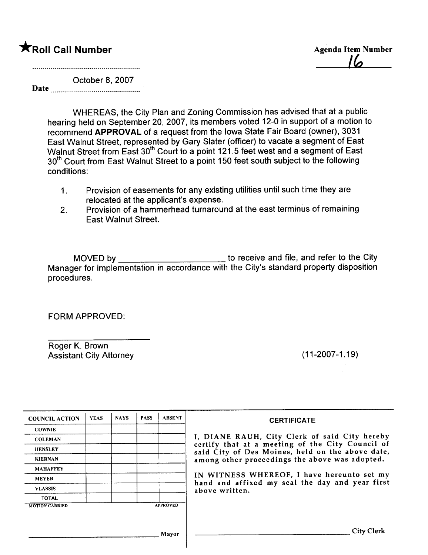## **\***Roll Call Number Agenda Item Number

<u>I la</u>

October 8, 2007 Date

> WHEREAS, the City Plan and Zoning Commission has advised that at a public hearing held on September 20, 2007, its members voted 12-0 in support of a motion to recommend APPROVAL of a request from the Iowa State Fair Board (owner), 3031 East Walnut Street, represented by Gary Slater (officer) to vacate a segment of East Walnut Street from East 30<sup>th</sup> Court to a point 121.5 feet west and a segment of East 30<sup>th</sup> Court from East Walnut Street to a point 150 feet south subject to the following conditions:

- 1. Provision of easements for any existing utilities until such time they are relocated at the applicant's expense.
- 2. Provision of a hammerhead turnaround at the east terminus of remaining East Walnut Street.

MOVED by \_\_\_\_\_\_\_\_\_\_\_\_\_\_\_\_\_\_\_\_\_\_\_\_\_\_\_\_ to receive and file, and refer to the City Manager for implementation in accordance with the City's standard property disposition procedures.

FORM APPROVED:

Roger K. Brown Assistant City Attorney (11-2007-1.19)

| <b>COUNCIL ACTION</b> | <b>YEAS</b> | <b>NAYS</b> | <b>PASS</b> | <b>ABSENT</b>   | <b>CERTIFICATE</b>                                                                                   |
|-----------------------|-------------|-------------|-------------|-----------------|------------------------------------------------------------------------------------------------------|
| <b>COWNIE</b>         |             |             |             |                 |                                                                                                      |
| <b>COLEMAN</b>        |             |             |             |                 | I, DIANE RAUH, City Clerk of said City hereby                                                        |
| <b>HENSLEY</b>        |             |             |             |                 | certify that at a meeting of the City Council of<br>said City of Des Moines, held on the above date, |
| <b>KIERNAN</b>        |             |             |             |                 | among other proceedings the above was adopted.                                                       |
| <b>MAHAFFEY</b>       |             |             |             |                 |                                                                                                      |
| <b>MEYER</b>          |             |             |             |                 | IN WITNESS WHEREOF, I have hereunto set my<br>hand and affixed my seal the day and year first        |
| <b>VLASSIS</b>        |             |             |             |                 | above written.                                                                                       |
| <b>TOTAL</b>          |             |             |             |                 |                                                                                                      |
| <b>MOTION CARRIED</b> |             |             |             | <b>APPROVED</b> |                                                                                                      |
|                       |             |             |             |                 |                                                                                                      |
|                       |             |             |             | Mayor           | <b>City Clerk</b>                                                                                    |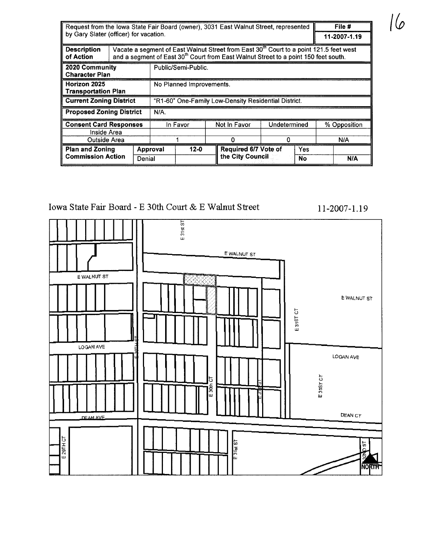| Request from the lowa State Fair Board (owner), 3031 East Walnut Street, represented |                                                              |  |                                                                                                                                                                                                       |          |  |                      |              |           | File #       |     |
|--------------------------------------------------------------------------------------|--------------------------------------------------------------|--|-------------------------------------------------------------------------------------------------------------------------------------------------------------------------------------------------------|----------|--|----------------------|--------------|-----------|--------------|-----|
|                                                                                      | by Gary Slater (officer) for vacation.                       |  |                                                                                                                                                                                                       |          |  |                      |              |           | 11-2007-1.19 |     |
| <b>Description</b><br>of Action                                                      |                                                              |  | Vacate a segment of East Walnut Street from East 30 <sup>th</sup> Court to a point 121.5 feet west<br>and a segment of East 30 <sup>th</sup> Court from East Walnut Street to a point 150 feet south. |          |  |                      |              |           |              |     |
| 2020 Community<br><b>Character Plan</b>                                              |                                                              |  | Public/Semi-Public.                                                                                                                                                                                   |          |  |                      |              |           |              |     |
| Horizon 2025<br><b>Transportation Plan</b>                                           | No Planned Improvements.                                     |  |                                                                                                                                                                                                       |          |  |                      |              |           |              |     |
| <b>Current Zoning District</b>                                                       | "R1-60" One-Family Low-Density Residential District.         |  |                                                                                                                                                                                                       |          |  |                      |              |           |              |     |
| <b>Proposed Zoning District</b>                                                      | N/A.                                                         |  |                                                                                                                                                                                                       |          |  |                      |              |           |              |     |
|                                                                                      | <b>Consent Card Responses</b>                                |  |                                                                                                                                                                                                       | In Favor |  | Not In Favor         | Undetermined |           | % Opposition |     |
| Inside Area                                                                          |                                                              |  |                                                                                                                                                                                                       |          |  |                      |              |           |              |     |
| Outside Area                                                                         |                                                              |  |                                                                                                                                                                                                       |          |  | O                    |              | N/A       |              |     |
|                                                                                      | <b>Plan and Zoning</b><br><b>Commission Action</b><br>Denial |  | $12 - 0$<br>Approval                                                                                                                                                                                  |          |  | Required 6/7 Vote of | Yes          |           |              |     |
|                                                                                      |                                                              |  |                                                                                                                                                                                                       |          |  | the City Council     |              | <b>No</b> |              | N/A |

### Iowa State Fair Board - E 30th Court & E Walnut Street

# $E31535$ EWALNUT ST E WALNUT ST E WALNUT ST E31ST CT LOGAN AVE LOGAN AVE E31ST CT 5  $E$  30th **DEAN CT** DEAM AVE Е 29ТН СТ E 3 lat ST **TSQ NORTH**

11-2007-1.19

16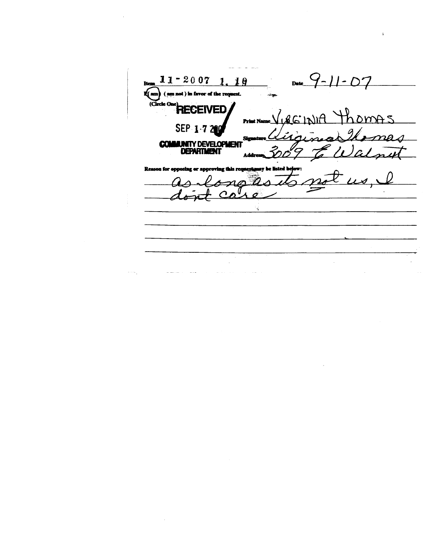$11 - 2007$  1.10 07  $Date_$ Ite regiment. **k**(am not ) in favor of the (Circle On **RECEIVED** homas  $AC^{\dagger}$ **Print Nat** SEP<sub>1</sub> **COMMUNITY DEVELOPMEN** ) c/ n4 **DEPARTMENT** ry be listed R a for on

 $\overline{a}$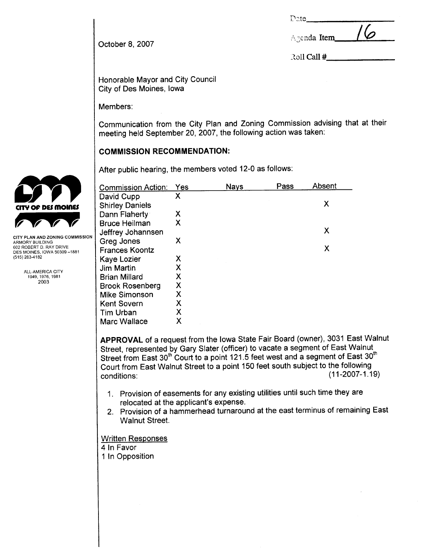| ×.<br>× |
|---------|
|         |

| <b>V</b><br>Agenda Item |
|-------------------------|
|-------------------------|

Roll Call #

October 8, 2007

Honorable Mayor and City Council City of Des Moines, Iowa

Members:

Communication from the City Plan and Zoning Commission advising that at their meeting held September 20, 2007, the following action was taken:

#### COMMISSION RECOMMENDATION:

|                                                                                                                 | After public hearing, the members voted 12-0 as follows: |     |             |      |        |  |  |  |
|-----------------------------------------------------------------------------------------------------------------|----------------------------------------------------------|-----|-------------|------|--------|--|--|--|
|                                                                                                                 | <b>Commission Action:</b>                                | Yes | <b>Nays</b> | Pass | Absent |  |  |  |
|                                                                                                                 | David Cupp<br><b>Shirley Daniels</b>                     | χ   |             |      | X      |  |  |  |
| CITY OF DES MOINES                                                                                              | Dann Flaherty                                            | Х   |             |      |        |  |  |  |
|                                                                                                                 | <b>Bruce Heilman</b><br>Jeffrey Johannsen                | Χ   |             |      | X      |  |  |  |
| CITY PLAN AND ZONING COMMISSION<br>ARMORY BUILDING<br>602 ROBERT D. RAY DRIVE<br>DES MOINES. IOWA 50309 -- 1881 | Greg Jones<br><b>Frances Koontz</b>                      | X   |             |      | X      |  |  |  |
| (515) 283-4182                                                                                                  | Kaye Lozier                                              | Х   |             |      |        |  |  |  |
| ALL-AMERICA CITY                                                                                                | Jim Martin                                               | Χ   |             |      |        |  |  |  |
| 1949, 1976, 1981                                                                                                | Brian Millard                                            | Χ   |             |      |        |  |  |  |
| 2003                                                                                                            | <b>Brook Rosenberg</b>                                   | Χ   |             |      |        |  |  |  |
|                                                                                                                 | <b>Mike Simonson</b>                                     | Χ   |             |      |        |  |  |  |
|                                                                                                                 | <b>Kent Sovern</b>                                       | Χ   |             |      |        |  |  |  |
|                                                                                                                 | Tim Urban                                                | Χ   |             |      |        |  |  |  |
|                                                                                                                 | <b>Marc Wallace</b>                                      | Χ   |             |      |        |  |  |  |

APPROVAL of a request from the Iowa State Fair Board (owner), 3031 East Walnut Street, represented by Gary Slater (officer) to vacate a segment of East Walnut Street from East 30<sup>th</sup> Court to a point 121.5 feet west and a segment of East 30<sup>th</sup> Court from East Walnut Street to a point 150 feet south subject to the following conditions: (11-2007-1.19)

- 1. Provision of easements for any existing utilities until such time they are relocated at the applicant's expense.
- 2. Provision of a hammerhead turnaround at the east terminus of remaining East Walnut Street.

Written Responses

- 4 In Favor
- 1 In Opposition

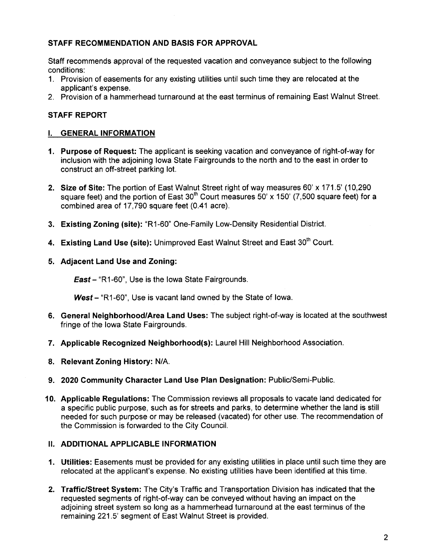#### STAFF RECOMMENDATION AND BASIS FOR APPROVAL

Staff recommends approval of the requested vacation and conveyance subject to the following conditions:

- 1. Provision of easements for any existing utilities until such time they are relocated at the applicant's expense.
- 2. Provision of a hammerhead turnaround at the east terminus of remaining East Walnut Street.

#### STAFF REPORT

#### i. GENERAL INFORMATION

- 1. Purpose of Request: The applicant is seeking vacation and conveyance of right-of-way for inclusion with the adjoining Iowa State Fairgrounds to the north and to the east in order to construct an off-street parking lot.
- 2. Size of Site: The portion of East Walnut Street right of way measures 60' x 171.5' (10,290 square feet) and the portion of East 30<sup>th</sup> Court measures 50' x 150' (7,500 square feet) for a combined area of 17,790 square feet (0.41 acre).
- 3. Existing Zoning (site): "R1-60" One-Family Low-Density Residential District.
- 4. Existing Land Use (site): Unimproved East Walnut Street and East 30<sup>th</sup> Court.
- 5. Adjacent Land Use and Zoning:

**East** – "R1-60", Use is the Iowa State Fairgrounds.

West - "R1-60", Use is vacant land owned by the State of Iowa.

- 6. General Neighborhood/Area Land Uses: The subject right-of-way is located at the southwest fringe of the Iowa State Fairgrounds.
- 7. Applicable Recognized Neighborhood(s): Laurel Hill Neighborhood Association.
- 8. Relevant Zoning History: N/A.
- 9. 2020 Community Character Land Use Plan Designation: Public/Semi-Public.
- 10. Applicable Regulations: The Commission reviews all proposals to vacate land dedicated for a specific public purpose, such as for streets and parks, to determine whether the land is still needed for such purpose or may be released (vacated) for other use. The recommendation of the Commission is forwarded to the City Council.

#### II. ADDITIONAL APPLICABLE INFORMATION

- 1. Utilties: Easements must be provided for any existing utilities in place until such time they are relocated at the applicant's expense. No existing utilities have been identified at this time.
- 2. Traffic/Street System: The City's Traffic and Transportation Division has indicated that the requested segments of right-of-way can be conveyed without having an impact on the adjoining street system so long as a hammerhead turnaround at the east terminus of the remaining 221.5' segment of East Walnut Street is provided.